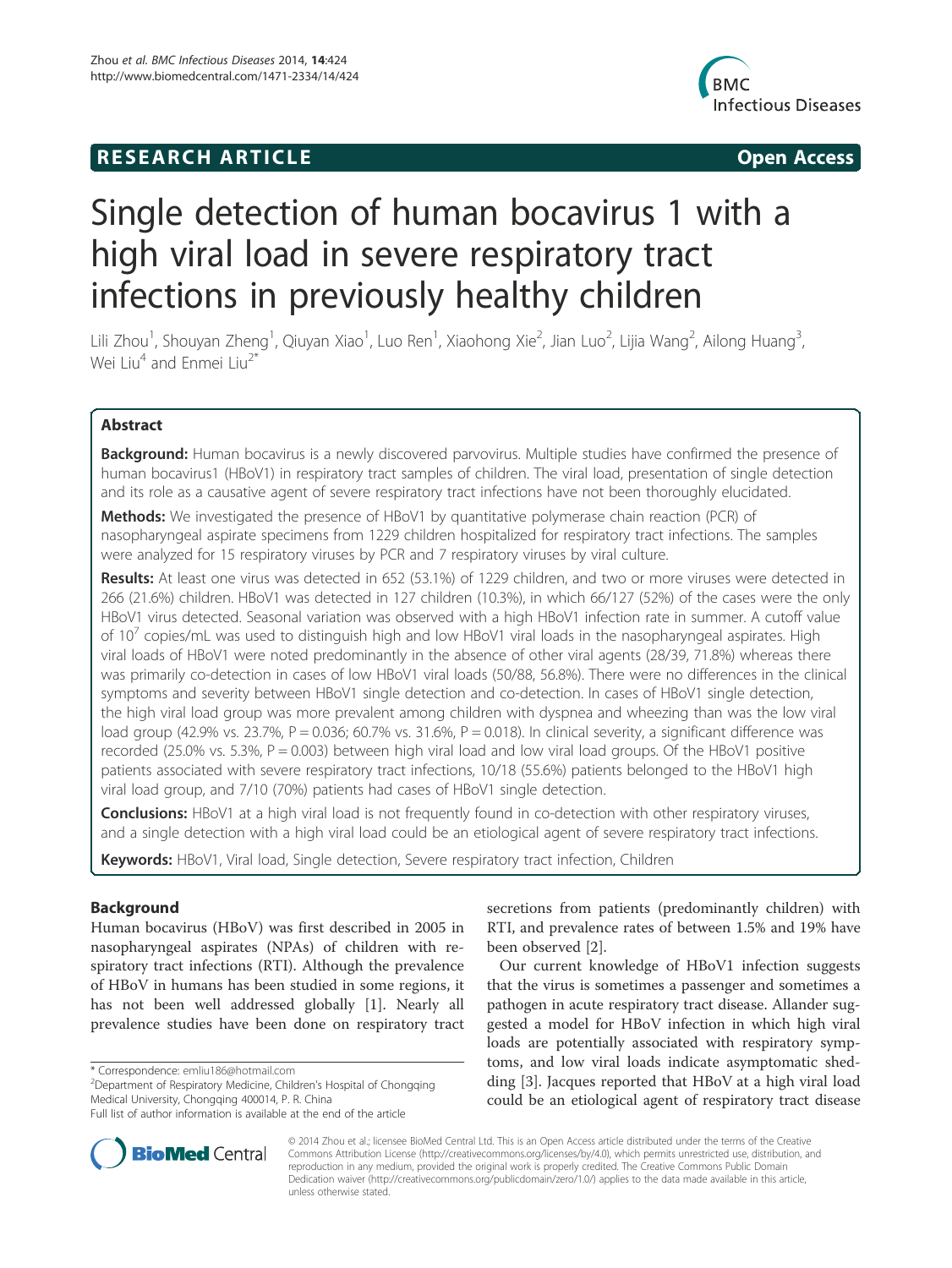# **RESEARCH ARTICLE Example 2014 12:30 The SEAR CHA RTICLE**



# Single detection of human bocavirus 1 with a high viral load in severe respiratory tract infections in previously healthy children

Lili Zhou<sup>1</sup>, Shouyan Zheng<sup>1</sup>, Qiuyan Xiao<sup>1</sup>, Luo Ren<sup>1</sup>, Xiaohong Xie<sup>2</sup>, Jian Luo<sup>2</sup>, Lijia Wang<sup>2</sup>, Ailong Huang<sup>3</sup> , Wei  $\mathrm{Li}^{4}$  and Enmei Liu<sup>2\*</sup>

# Abstract

Background: Human bocavirus is a newly discovered parvovirus. Multiple studies have confirmed the presence of human bocavirus1 (HBoV1) in respiratory tract samples of children. The viral load, presentation of single detection and its role as a causative agent of severe respiratory tract infections have not been thoroughly elucidated.

Methods: We investigated the presence of HBoV1 by quantitative polymerase chain reaction (PCR) of nasopharyngeal aspirate specimens from 1229 children hospitalized for respiratory tract infections. The samples were analyzed for 15 respiratory viruses by PCR and 7 respiratory viruses by viral culture.

Results: At least one virus was detected in 652 (53.1%) of 1229 children, and two or more viruses were detected in 266 (21.6%) children. HBoV1 was detected in 127 children (10.3%), in which 66/127 (52%) of the cases were the only HBoV1 virus detected. Seasonal variation was observed with a high HBoV1 infection rate in summer. A cutoff value of 10<sup>7</sup> copies/mL was used to distinguish high and low HBoV1 viral loads in the nasopharyngeal aspirates. High viral loads of HBoV1 were noted predominantly in the absence of other viral agents (28/39, 71.8%) whereas there was primarily co-detection in cases of low HBoV1 viral loads (50/88, 56.8%). There were no differences in the clinical symptoms and severity between HBoV1 single detection and co-detection. In cases of HBoV1 single detection, the high viral load group was more prevalent among children with dyspnea and wheezing than was the low viral load group (42.9% vs. 23.7%,  $P = 0.036$ ; 60.7% vs. 31.6%,  $P = 0.018$ ). In clinical severity, a significant difference was recorded (25.0% vs. 5.3%,  $P = 0.003$ ) between high viral load and low viral load groups. Of the HBoV1 positive patients associated with severe respiratory tract infections, 10/18 (55.6%) patients belonged to the HBoV1 high viral load group, and 7/10 (70%) patients had cases of HBoV1 single detection.

**Conclusions:** HBoV1 at a high viral load is not frequently found in co-detection with other respiratory viruses, and a single detection with a high viral load could be an etiological agent of severe respiratory tract infections.

Keywords: HBoV1, Viral load, Single detection, Severe respiratory tract infection, Children

# Background

Human bocavirus (HBoV) was first described in 2005 in nasopharyngeal aspirates (NPAs) of children with respiratory tract infections (RTI). Although the prevalence of HBoV in humans has been studied in some regions, it has not been well addressed globally [1]. Nearly all prevalence studies have been done on respiratory tract

\* Correspondence: emliu186@hotmail.com <sup>2</sup>

<sup>2</sup>Department of Respiratory Medicine, Children's Hospital of Chongqing Medical University, Chongqing 400014, P. R. China



Our current knowledge of HBoV1 infection suggests that the virus is sometimes a passenger and sometimes a pathogen in acute respiratory tract disease. Allander suggested a model for HBoV infection in which high viral loads are potentially associated with respiratory symptoms, and low viral loads indicate asymptomatic shedding [3]. Jacques reported that HBoV at a high viral load could be an etiological agent of respiratory tract disease



© 2014 Zhou et al.; licensee BioMed Central Ltd. This is an Open Access article distributed under the terms of the Creative Commons Attribution License (http://creativecommons.org/licenses/by/4.0), which permits unrestricted use, distribution, and reproduction in any medium, provided the original work is properly credited. The Creative Commons Public Domain Dedication waiver (http://creativecommons.org/publicdomain/zero/1.0/) applies to the data made available in this article, unless otherwise stated.

Full list of author information is available at the end of the article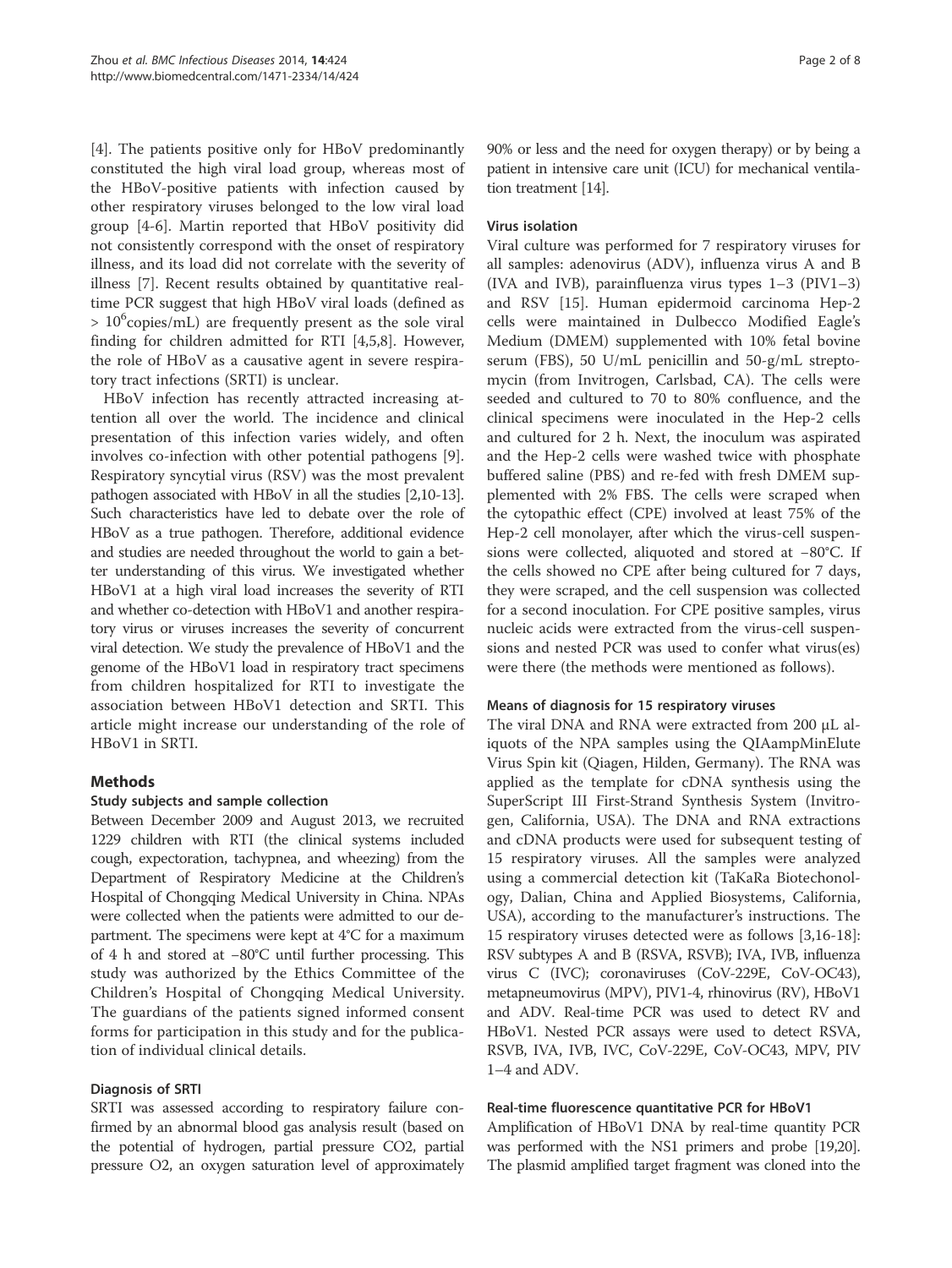[4]. The patients positive only for HBoV predominantly constituted the high viral load group, whereas most of the HBoV-positive patients with infection caused by other respiratory viruses belonged to the low viral load group [4-6]. Martin reported that HBoV positivity did not consistently correspond with the onset of respiratory illness, and its load did not correlate with the severity of illness [7]. Recent results obtained by quantitative realtime PCR suggest that high HBoV viral loads (defined as > 10<sup>6</sup>copies/mL) are frequently present as the sole viral finding for children admitted for RTI [4,5,8]. However, the role of HBoV as a causative agent in severe respiratory tract infections (SRTI) is unclear.

HBoV infection has recently attracted increasing attention all over the world. The incidence and clinical presentation of this infection varies widely, and often involves co-infection with other potential pathogens [9]. Respiratory syncytial virus (RSV) was the most prevalent pathogen associated with HBoV in all the studies [2,10-13]. Such characteristics have led to debate over the role of HBoV as a true pathogen. Therefore, additional evidence and studies are needed throughout the world to gain a better understanding of this virus. We investigated whether HBoV1 at a high viral load increases the severity of RTI and whether co-detection with HBoV1 and another respiratory virus or viruses increases the severity of concurrent viral detection. We study the prevalence of HBoV1 and the genome of the HBoV1 load in respiratory tract specimens from children hospitalized for RTI to investigate the association between HBoV1 detection and SRTI. This article might increase our understanding of the role of HBoV1 in SRTI.

# Methods

# Study subjects and sample collection

Between December 2009 and August 2013, we recruited 1229 children with RTI (the clinical systems included cough, expectoration, tachypnea, and wheezing) from the Department of Respiratory Medicine at the Children's Hospital of Chongqing Medical University in China. NPAs were collected when the patients were admitted to our department. The specimens were kept at 4°C for a maximum of 4 h and stored at −80°C until further processing. This study was authorized by the Ethics Committee of the Children's Hospital of Chongqing Medical University. The guardians of the patients signed informed consent forms for participation in this study and for the publication of individual clinical details.

# Diagnosis of SRTI

SRTI was assessed according to respiratory failure confirmed by an abnormal blood gas analysis result (based on the potential of hydrogen, partial pressure CO2, partial pressure O2, an oxygen saturation level of approximately 90% or less and the need for oxygen therapy) or by being a patient in intensive care unit (ICU) for mechanical ventilation treatment [14].

# Virus isolation

Viral culture was performed for 7 respiratory viruses for all samples: adenovirus (ADV), influenza virus A and B (IVA and IVB), parainfluenza virus types 1–3 (PIV1–3) and RSV [15]. Human epidermoid carcinoma Hep-2 cells were maintained in Dulbecco Modified Eagle's Medium (DMEM) supplemented with 10% fetal bovine serum (FBS), 50 U/mL penicillin and 50-g/mL streptomycin (from Invitrogen, Carlsbad, CA). The cells were seeded and cultured to 70 to 80% confluence, and the clinical specimens were inoculated in the Hep-2 cells and cultured for 2 h. Next, the inoculum was aspirated and the Hep-2 cells were washed twice with phosphate buffered saline (PBS) and re-fed with fresh DMEM supplemented with 2% FBS. The cells were scraped when the cytopathic effect (CPE) involved at least 75% of the Hep-2 cell monolayer, after which the virus-cell suspensions were collected, aliquoted and stored at −80°C. If the cells showed no CPE after being cultured for 7 days, they were scraped, and the cell suspension was collected for a second inoculation. For CPE positive samples, virus nucleic acids were extracted from the virus-cell suspensions and nested PCR was used to confer what virus(es) were there (the methods were mentioned as follows).

# Means of diagnosis for 15 respiratory viruses

The viral DNA and RNA were extracted from 200 μL aliquots of the NPA samples using the QIAampMinElute Virus Spin kit (Qiagen, Hilden, Germany). The RNA was applied as the template for cDNA synthesis using the SuperScript III First-Strand Synthesis System (Invitrogen, California, USA). The DNA and RNA extractions and cDNA products were used for subsequent testing of 15 respiratory viruses. All the samples were analyzed using a commercial detection kit (TaKaRa Biotechonology, Dalian, China and Applied Biosystems, California, USA), according to the manufacturer's instructions. The 15 respiratory viruses detected were as follows [3,16-18]: RSV subtypes A and B (RSVA, RSVB); IVA, IVB, influenza virus C (IVC); coronaviruses (CoV-229E, CoV-OC43), metapneumovirus (MPV), PIV1-4, rhinovirus (RV), HBoV1 and ADV. Real-time PCR was used to detect RV and HBoV1. Nested PCR assays were used to detect RSVA, RSVB, IVA, IVB, IVC, CoV-229E, CoV-OC43, MPV, PIV 1–4 and ADV.

# Real-time fluorescence quantitative PCR for HBoV1

Amplification of HBoV1 DNA by real-time quantity PCR was performed with the NS1 primers and probe [19,20]. The plasmid amplified target fragment was cloned into the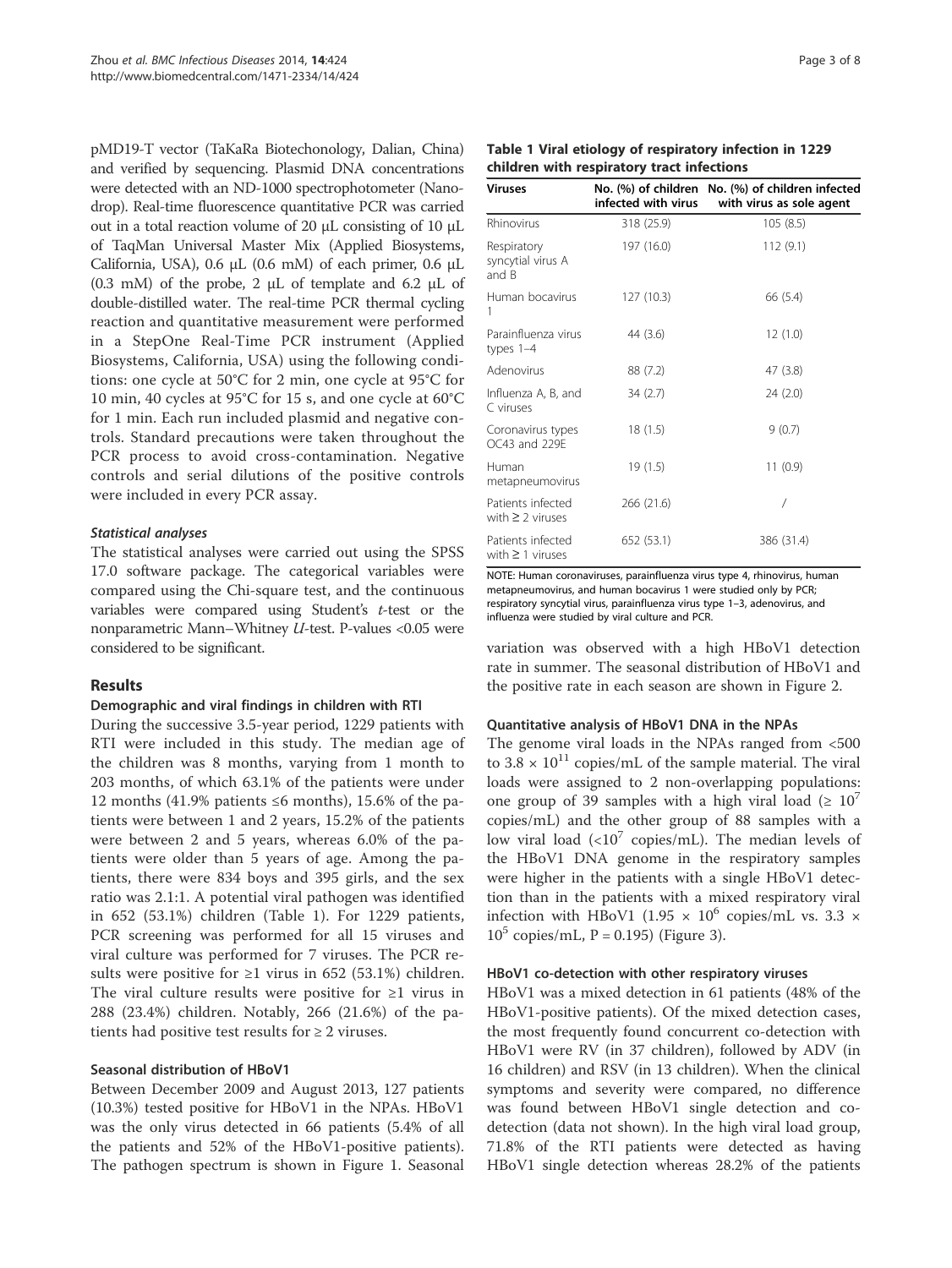pMD19-T vector (TaKaRa Biotechonology, Dalian, China) and verified by sequencing. Plasmid DNA concentrations were detected with an ND-1000 spectrophotometer (Nanodrop). Real-time fluorescence quantitative PCR was carried out in a total reaction volume of 20 μL consisting of 10 μL of TaqMan Universal Master Mix (Applied Biosystems, California, USA), 0.6 μL (0.6 mM) of each primer, 0.6 μL (0.3 mM) of the probe, 2 μL of template and 6.2 μL of double-distilled water. The real-time PCR thermal cycling reaction and quantitative measurement were performed in a StepOne Real-Time PCR instrument (Applied Biosystems, California, USA) using the following conditions: one cycle at 50°C for 2 min, one cycle at 95°C for 10 min, 40 cycles at 95°C for 15 s, and one cycle at 60°C for 1 min. Each run included plasmid and negative controls. Standard precautions were taken throughout the PCR process to avoid cross-contamination. Negative controls and serial dilutions of the positive controls were included in every PCR assay.

# Statistical analyses

The statistical analyses were carried out using the SPSS 17.0 software package. The categorical variables were compared using the Chi-square test, and the continuous variables were compared using Student's t-test or the nonparametric Mann–Whitney U-test. P-values <0.05 were considered to be significant.

# Results

#### Demographic and viral findings in children with RTI

During the successive 3.5-year period, 1229 patients with RTI were included in this study. The median age of the children was 8 months, varying from 1 month to 203 months, of which 63.1% of the patients were under 12 months (41.9% patients ≤6 months), 15.6% of the patients were between 1 and 2 years, 15.2% of the patients were between 2 and 5 years, whereas 6.0% of the patients were older than 5 years of age. Among the patients, there were 834 boys and 395 girls, and the sex ratio was 2.1:1. A potential viral pathogen was identified in 652 (53.1%) children (Table 1). For 1229 patients, PCR screening was performed for all 15 viruses and viral culture was performed for 7 viruses. The PCR results were positive for  $\geq 1$  virus in 652 (53.1%) children. The viral culture results were positive for  $\geq 1$  virus in 288 (23.4%) children. Notably, 266 (21.6%) of the patients had positive test results for  $\geq 2$  viruses.

## Seasonal distribution of HBoV1

Between December 2009 and August 2013, 127 patients (10.3%) tested positive for HBoV1 in the NPAs. HBoV1 was the only virus detected in 66 patients (5.4% of all the patients and 52% of the HBoV1-positive patients). The pathogen spectrum is shown in Figure 1. Seasonal

|  |                                            |  | Table 1 Viral etiology of respiratory infection in 1229 |  |
|--|--------------------------------------------|--|---------------------------------------------------------|--|
|  | children with respiratory tract infections |  |                                                         |  |

| Viruses                                    | infected with virus | No. (%) of children No. (%) of children infected<br>with virus as sole agent |
|--------------------------------------------|---------------------|------------------------------------------------------------------------------|
| Rhinovirus                                 | 318 (25.9)          | 105(8.5)                                                                     |
| Respiratory<br>syncytial virus A<br>and B  | 197 (16.0)          | 112(9.1)                                                                     |
| Human bocavirus<br>1                       | 127 (10.3)          | 66 (5.4)                                                                     |
| Parainfluenza virus<br>types 1-4           | 44 (3.6)            | 12(1.0)                                                                      |
| Adenovirus                                 | 88 (7.2)            | 47 (3.8)                                                                     |
| Influenza A, B, and<br>C viruses           | 34(2.7)             | 24(2.0)                                                                      |
| Coronavirus types<br>OC43 and 229E         | 18(1.5)             | 9(0.7)                                                                       |
| Human<br>metapneumovirus                   | 19(1.5)             | 11(0.9)                                                                      |
| Patients infected<br>with $\geq$ 2 viruses | 266 (21.6)          |                                                                              |
| Patients infected<br>with $\geq$ 1 viruses | 652 (53.1)          | 386 (31.4)                                                                   |

NOTE: Human coronaviruses, parainfluenza virus type 4, rhinovirus, human metapneumovirus, and human bocavirus 1 were studied only by PCR; respiratory syncytial virus, parainfluenza virus type 1–3, adenovirus, and influenza were studied by viral culture and PCR.

variation was observed with a high HBoV1 detection rate in summer. The seasonal distribution of HBoV1 and the positive rate in each season are shown in Figure 2.

#### Quantitative analysis of HBoV1 DNA in the NPAs

The genome viral loads in the NPAs ranged from <500 to  $3.8 \times 10^{11}$  copies/mL of the sample material. The viral loads were assigned to 2 non-overlapping populations: one group of 39 samples with a high viral load ( $\geq 10^7$ ) copies/mL) and the other group of 88 samples with a low viral load  $\langle$ <10<sup>7</sup> copies/mL). The median levels of the HBoV1 DNA genome in the respiratory samples were higher in the patients with a single HBoV1 detection than in the patients with a mixed respiratory viral infection with HBoV1 (1.95  $\times$  10<sup>6</sup> copies/mL vs. 3.3  $\times$  $10^5$  copies/mL, P = 0.195) (Figure 3).

#### HBoV1 co-detection with other respiratory viruses

HBoV1 was a mixed detection in 61 patients (48% of the HBoV1-positive patients). Of the mixed detection cases, the most frequently found concurrent co-detection with HBoV1 were RV (in 37 children), followed by ADV (in 16 children) and RSV (in 13 children). When the clinical symptoms and severity were compared, no difference was found between HBoV1 single detection and codetection (data not shown). In the high viral load group, 71.8% of the RTI patients were detected as having HBoV1 single detection whereas 28.2% of the patients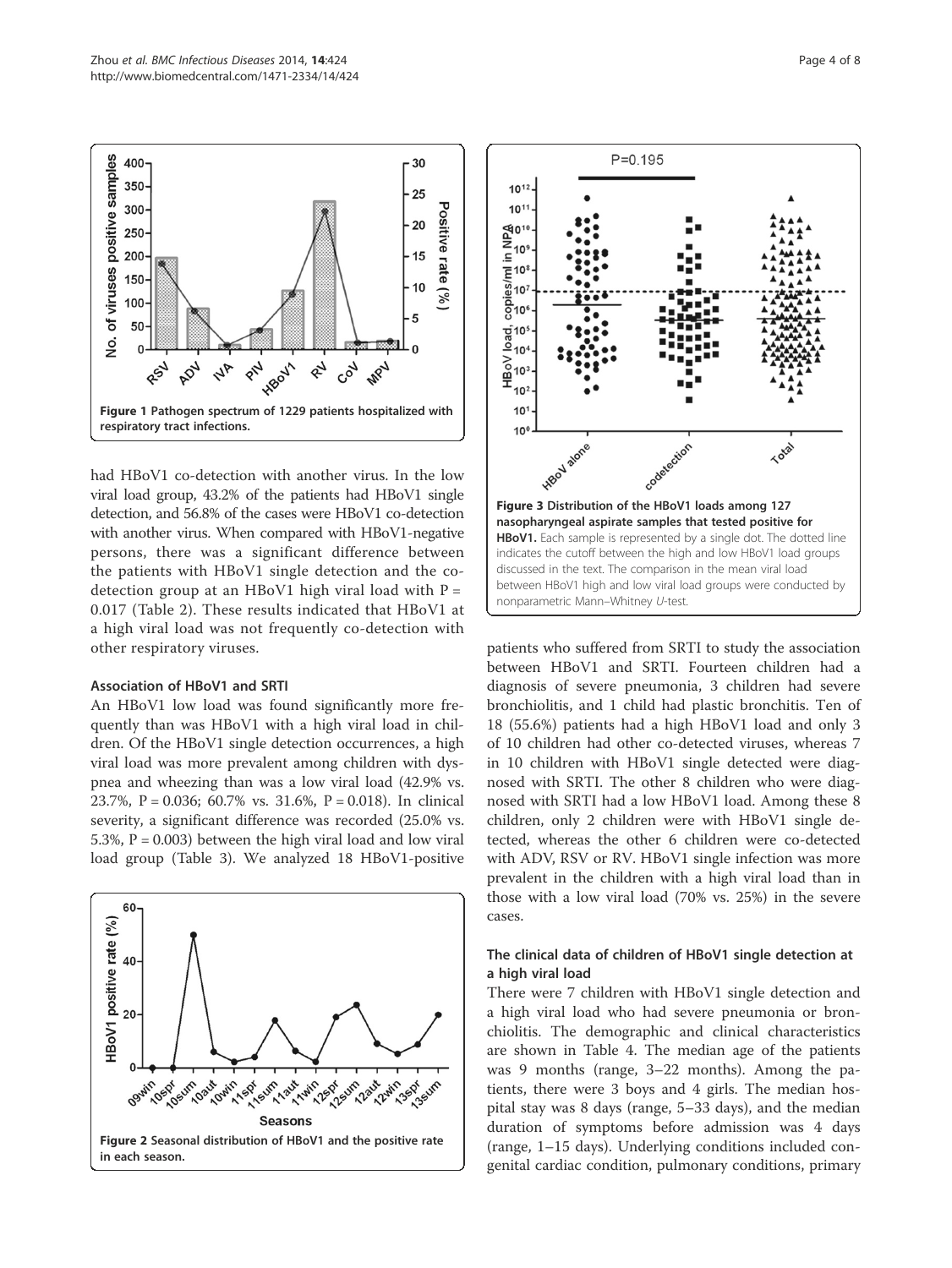

had HBoV1 co-detection with another virus. In the low viral load group, 43.2% of the patients had HBoV1 single detection, and 56.8% of the cases were HBoV1 co-detection with another virus. When compared with HBoV1-negative persons, there was a significant difference between the patients with HBoV1 single detection and the codetection group at an HBoV1 high viral load with  $P =$ 0.017 (Table 2). These results indicated that HBoV1 at a high viral load was not frequently co-detection with other respiratory viruses.

#### Association of HBoV1 and SRTI

An HBoV1 low load was found significantly more frequently than was HBoV1 with a high viral load in children. Of the HBoV1 single detection occurrences, a high viral load was more prevalent among children with dyspnea and wheezing than was a low viral load (42.9% vs. 23.7%, P = 0.036; 60.7% vs. 31.6%, P = 0.018). In clinical severity, a significant difference was recorded (25.0% vs. 5.3%,  $P = 0.003$ ) between the high viral load and low viral load group (Table 3). We analyzed 18 HBoV1-positive





patients who suffered from SRTI to study the association between HBoV1 and SRTI. Fourteen children had a diagnosis of severe pneumonia, 3 children had severe bronchiolitis, and 1 child had plastic bronchitis. Ten of 18 (55.6%) patients had a high HBoV1 load and only 3 of 10 children had other co-detected viruses, whereas 7 in 10 children with HBoV1 single detected were diagnosed with SRTI. The other 8 children who were diagnosed with SRTI had a low HBoV1 load. Among these 8 children, only 2 children were with HBoV1 single detected, whereas the other 6 children were co-detected with ADV, RSV or RV. HBoV1 single infection was more prevalent in the children with a high viral load than in those with a low viral load (70% vs. 25%) in the severe cases.

# The clinical data of children of HBoV1 single detection at a high viral load

There were 7 children with HBoV1 single detection and a high viral load who had severe pneumonia or bronchiolitis. The demographic and clinical characteristics are shown in Table 4. The median age of the patients was 9 months (range, 3–22 months). Among the patients, there were 3 boys and 4 girls. The median hospital stay was 8 days (range, 5–33 days), and the median duration of symptoms before admission was 4 days (range, 1–15 days). Underlying conditions included congenital cardiac condition, pulmonary conditions, primary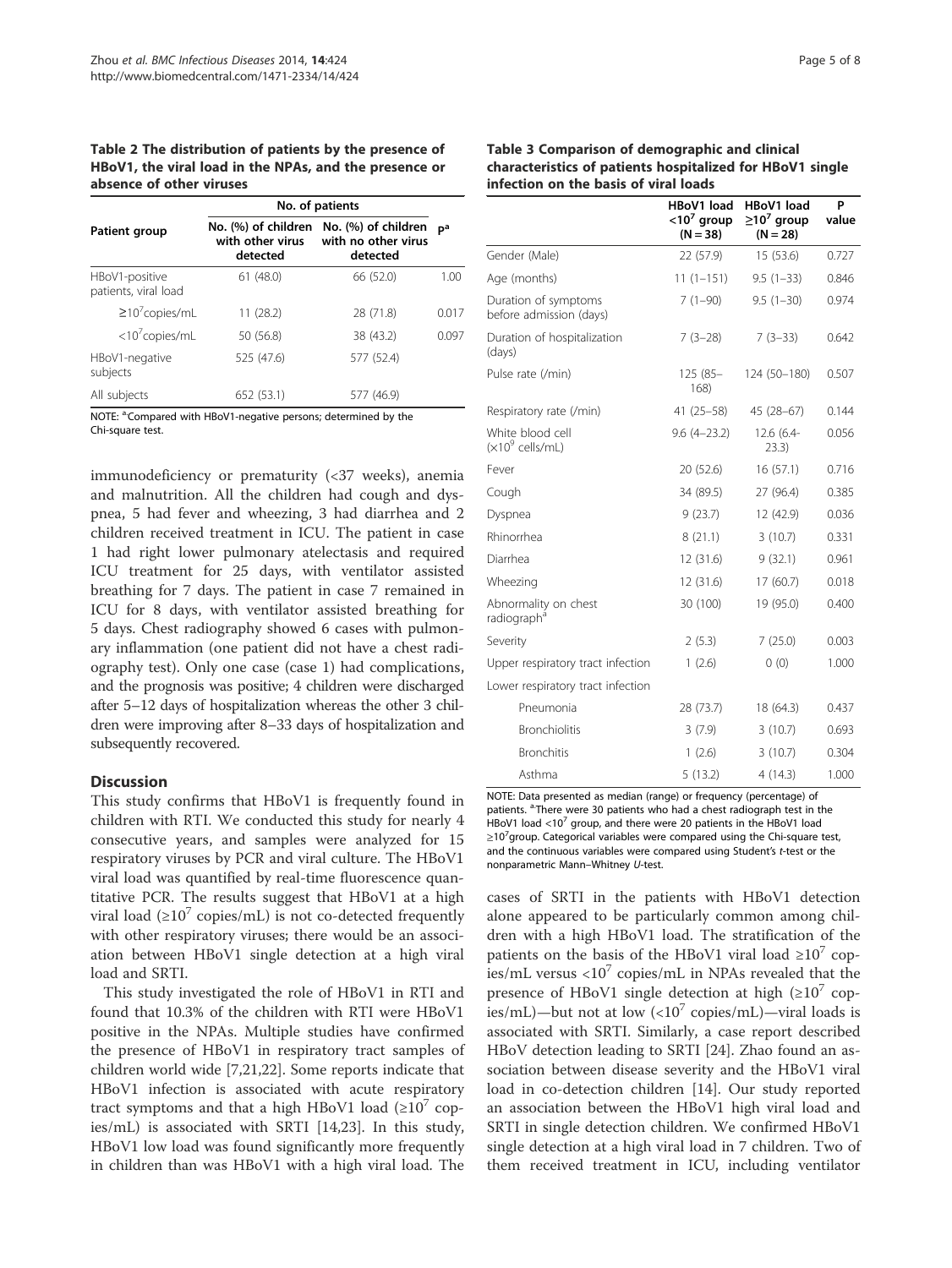Table 2 The distribution of patients by the presence of HBoV1, the viral load in the NPAs, and the presence or absence of other viruses

|                                        | No. of patients                                     |                                                        |                |  |
|----------------------------------------|-----------------------------------------------------|--------------------------------------------------------|----------------|--|
| Patient group                          | No. (%) of children<br>with other virus<br>detected | No. (%) of children<br>with no other virus<br>detected | D <sup>a</sup> |  |
| HBoV1-positive<br>patients, viral load | 61(48.0)                                            | 66 (52.0)                                              | 1.00           |  |
| $\geq 10^7$ copies/mL                  | 11(28.2)                                            | 28 (71.8)                                              | 0.017          |  |
| $<$ 10 $<$ copies/mL                   | 50 (56.8)                                           | 38 (43.2)                                              | 0.097          |  |
| HBoV1-negative<br>subjects             | 525 (47.6)                                          | 577 (52.4)                                             |                |  |
| All subjects                           | 652 (53.1)                                          | 577 (46.9)                                             |                |  |

NOTE: <sup>a.</sup>Compared with HBoV1-negative persons; determined by the Chi-square test.

immunodeficiency or prematurity (<37 weeks), anemia and malnutrition. All the children had cough and dyspnea, 5 had fever and wheezing, 3 had diarrhea and 2 children received treatment in ICU. The patient in case 1 had right lower pulmonary atelectasis and required ICU treatment for 25 days, with ventilator assisted breathing for 7 days. The patient in case 7 remained in ICU for 8 days, with ventilator assisted breathing for 5 days. Chest radiography showed 6 cases with pulmonary inflammation (one patient did not have a chest radiography test). Only one case (case 1) had complications, and the prognosis was positive; 4 children were discharged after 5–12 days of hospitalization whereas the other 3 children were improving after 8–33 days of hospitalization and subsequently recovered.

# **Discussion**

This study confirms that HBoV1 is frequently found in children with RTI. We conducted this study for nearly 4 consecutive years, and samples were analyzed for 15 respiratory viruses by PCR and viral culture. The HBoV1 viral load was quantified by real-time fluorescence quantitative PCR. The results suggest that HBoV1 at a high viral load  $(\geq 10^7 \text{ copies/mL})$  is not co-detected frequently with other respiratory viruses; there would be an association between HBoV1 single detection at a high viral load and SRTI.

This study investigated the role of HBoV1 in RTI and found that 10.3% of the children with RTI were HBoV1 positive in the NPAs. Multiple studies have confirmed the presence of HBoV1 in respiratory tract samples of children world wide [7,21,22]. Some reports indicate that HBoV1 infection is associated with acute respiratory tract symptoms and that a high HBoV1 load  $(\geq 10^7 \text{ cop}$ ies/mL) is associated with SRTI [14,23]. In this study, HBoV1 low load was found significantly more frequently in children than was HBoV1 with a high viral load. The

| Table 3 Comparison of demographic and clinical            |
|-----------------------------------------------------------|
| characteristics of patients hospitalized for HBoV1 single |
| infection on the basis of viral loads                     |

|                                                 | HBoV1 load<br>$<$ 10 <sup>7</sup> group<br>$(N = 38)$ | HBoV1 load<br>$\geq$ 10 <sup>7</sup> group<br>$(N = 28)$ | P<br>value |
|-------------------------------------------------|-------------------------------------------------------|----------------------------------------------------------|------------|
| Gender (Male)                                   | 22 (57.9)                                             | 15 (53.6)                                                | 0.727      |
| Age (months)                                    | $11(1 - 151)$                                         | $9.5(1-33)$                                              | 0.846      |
| Duration of symptoms<br>before admission (days) | $7(1-90)$                                             | $9.5(1-30)$                                              | 0.974      |
| Duration of hospitalization<br>(days)           | $7(3-28)$                                             | $7(3-33)$                                                | 0.642      |
| Pulse rate (/min)                               | 125 (85-<br>168)                                      | 124 (50-180)                                             | 0.507      |
| Respiratory rate (/min)                         | $41(25 - 58)$                                         | $45(28-67)$                                              | 0.144      |
| White blood cell<br>$(x10^9 \text{ cells/mL})$  | $9.6(4-23.2)$                                         | 12.6 (6.4-<br>23.3)                                      | 0.056      |
| Fever                                           | 20 (52.6)                                             | 16(57.1)                                                 | 0.716      |
| Cough                                           | 34 (89.5)                                             | 27 (96.4)                                                | 0.385      |
| Dyspnea                                         | 9(23.7)                                               | 12 (42.9)                                                | 0.036      |
| Rhinorrhea                                      | 8(21.1)                                               | 3(10.7)                                                  | 0.331      |
| Diarrhea                                        | 12 (31.6)                                             | 9(32.1)                                                  | 0.961      |
| Wheezing                                        | 12 (31.6)                                             | 17 (60.7)                                                | 0.018      |
| Abnormality on chest<br>radiograph <sup>a</sup> | 30 (100)                                              | 19 (95.0)                                                | 0.400      |
| Severity                                        | 2(5.3)                                                | 7(25.0)                                                  | 0.003      |
| Upper respiratory tract infection               | 1(2.6)                                                | 0(0)                                                     | 1.000      |
| Lower respiratory tract infection               |                                                       |                                                          |            |
| Pneumonia                                       | 28 (73.7)                                             | 18 (64.3)                                                | 0.437      |
| <b>Bronchiolitis</b>                            | 3(7.9)                                                | 3(10.7)                                                  | 0.693      |
| <b>Bronchitis</b>                               | 1(2.6)                                                | 3(10.7)                                                  | 0.304      |
| Asthma                                          | 5(13.2)                                               | 4(14.3)                                                  | 1.000      |

NOTE: Data presented as median (range) or frequency (percentage) of patients. <sup>a.</sup>There were 30 patients who had a chest radiograph test in the HBoV1 load  $<$ 10<sup>7</sup> group, and there were 20 patients in the HBoV1 load  $\geq$ 10<sup>7</sup> group. Categorical variables were compared using the Chi-square test, and the continuous variables were compared using Student's t-test or the nonparametric Mann–Whitney U-test.

cases of SRTI in the patients with HBoV1 detection alone appeared to be particularly common among children with a high HBoV1 load. The stratification of the patients on the basis of the HBoV1 viral load  $\geq 10^7$  copies/mL versus  $\langle 10^7 \text{ copies/mL}$  in NPAs revealed that the presence of HBoV1 single detection at high  $(\geq 10^7 \text{ cop-}$ ies/mL)—but not at low  $\left(\langle 10^7 \text{ copies/mL}\right)$ —viral loads is associated with SRTI. Similarly, a case report described HBoV detection leading to SRTI [24]. Zhao found an association between disease severity and the HBoV1 viral load in co-detection children [14]. Our study reported an association between the HBoV1 high viral load and SRTI in single detection children. We confirmed HBoV1 single detection at a high viral load in 7 children. Two of them received treatment in ICU, including ventilator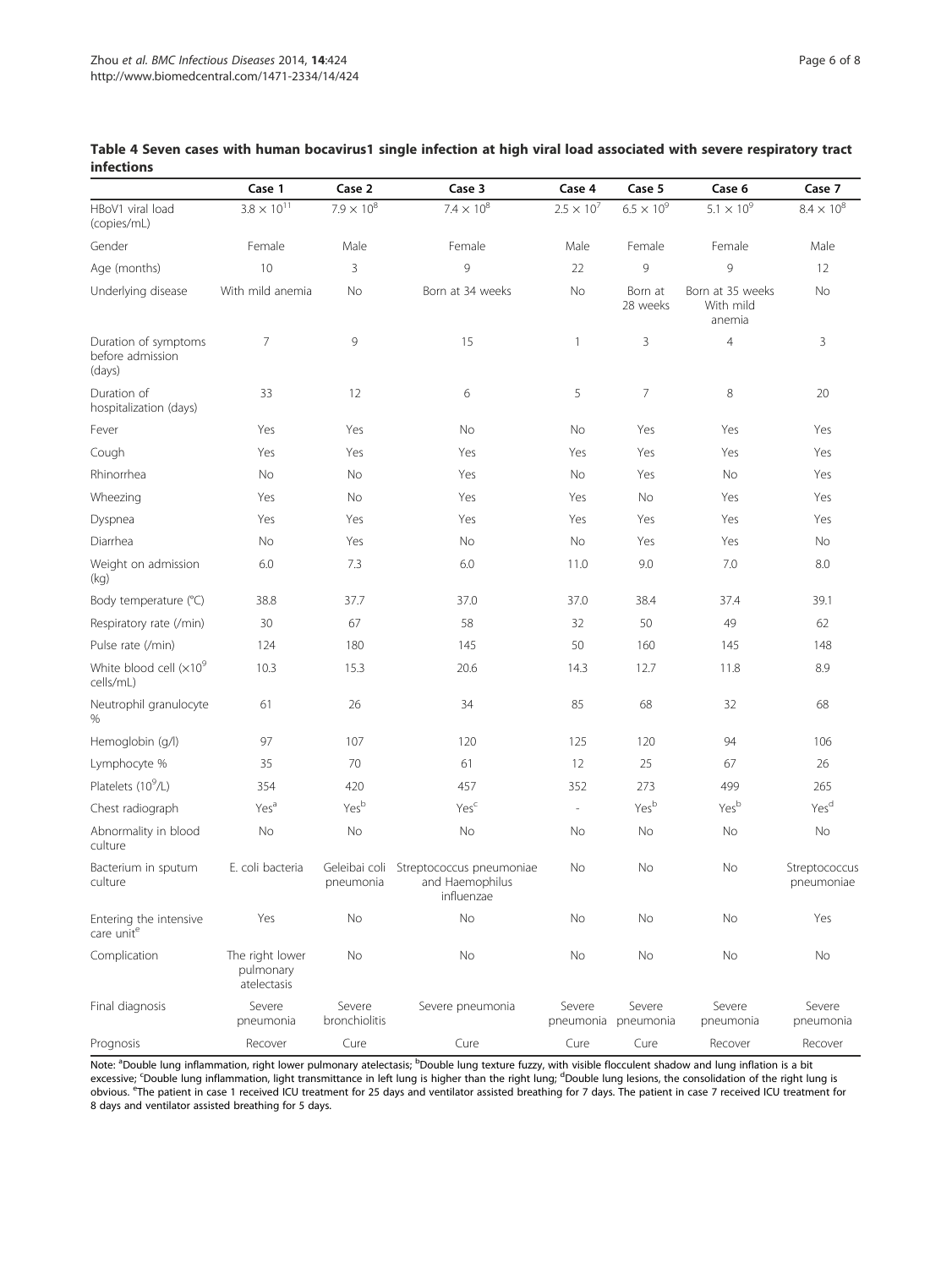|                                                    | Case 1                                      | Case 2                     | Case 3                                                    | Case 4                   | Case 5              | Case 6                                  | Case 7                      |
|----------------------------------------------------|---------------------------------------------|----------------------------|-----------------------------------------------------------|--------------------------|---------------------|-----------------------------------------|-----------------------------|
| HBoV1 viral load<br>(copies/mL)                    | $3.8 \times 10^{11}$                        | $7.9 \times 10^{8}$        | $7.4 \times 10^{8}$                                       | $2.5 \times 10^{7}$      | $6.5 \times 10^{9}$ | $5.1 \times 10^{9}$                     | $8.4 \times 10^{8}$         |
| Gender                                             | Female                                      | Male                       | Female                                                    | Male                     | Female              | Female                                  | Male                        |
| Age (months)                                       | 10                                          | 3                          | 9                                                         | 22                       | 9                   | 9                                       | 12                          |
| Underlying disease                                 | With mild anemia                            | No                         | Born at 34 weeks                                          | No                       | Born at<br>28 weeks | Born at 35 weeks<br>With mild<br>anemia | No                          |
| Duration of symptoms<br>before admission<br>(days) | 7                                           | 9                          | 15                                                        | 1                        | 3                   | $\overline{4}$                          | 3                           |
| Duration of<br>hospitalization (days)              | 33                                          | 12                         | 6                                                         | 5                        | 7                   | 8                                       | 20                          |
| Fever                                              | Yes                                         | Yes                        | No                                                        | No                       | Yes                 | Yes                                     | Yes                         |
| Cough                                              | Yes                                         | Yes                        | Yes                                                       | Yes                      | Yes                 | Yes                                     | Yes                         |
| Rhinorrhea                                         | No                                          | No                         | Yes                                                       | No                       | Yes                 | No                                      | Yes                         |
| Wheezing                                           | Yes                                         | No                         | Yes                                                       | Yes                      | No                  | Yes                                     | Yes                         |
| Dyspnea                                            | Yes                                         | Yes                        | Yes                                                       | Yes                      | Yes                 | Yes                                     | Yes                         |
| Diarrhea                                           | No                                          | Yes                        | No                                                        | No                       | Yes                 | Yes                                     | No                          |
| Weight on admission<br>(kg)                        | 6.0                                         | 7.3                        | 6.0                                                       | 11.0                     | 9.0                 | 7.0                                     | 8.0                         |
| Body temperature (°C)                              | 38.8                                        | 37.7                       | 37.0                                                      | 37.0                     | 38.4                | 37.4                                    | 39.1                        |
| Respiratory rate (/min)                            | 30                                          | 67                         | 58                                                        | 32                       | 50                  | 49                                      | 62                          |
| Pulse rate (/min)                                  | 124                                         | 180                        | 145                                                       | 50                       | 160                 | 145                                     | 148                         |
| White blood cell $(x10^9)$<br>cells/mL)            | 10.3                                        | 15.3                       | 20.6                                                      | 14.3                     | 12.7                | 11.8                                    | 8.9                         |
| Neutrophil granulocyte<br>%                        | 61                                          | 26                         | 34                                                        | 85                       | 68                  | 32                                      | 68                          |
| Hemoglobin (g/l)                                   | 97                                          | 107                        | 120                                                       | 125                      | 120                 | 94                                      | 106                         |
| Lymphocyte %                                       | 35                                          | 70                         | 61                                                        | 12                       | 25                  | 67                                      | 26                          |
| Platelets (10 <sup>9</sup> /L)                     | 354                                         | 420                        | 457                                                       | 352                      | 273                 | 499                                     | 265                         |
| Chest radiograph                                   | Yes <sup>a</sup>                            | Yesb                       | Yesc                                                      | $\overline{\phantom{a}}$ | Yesb                | Yesb                                    | Yes <sup>d</sup>            |
| Abnormality in blood<br>culture                    | No                                          | No                         | No                                                        | No                       | No                  | No                                      | No                          |
| Bacterium in sputum<br>culture                     | E. coli bacteria                            | Geleibai coli<br>pneumonia | Streptococcus pneumoniae<br>and Haemophilus<br>influenzae | No                       | No                  | No                                      | Streptococcus<br>pneumoniae |
| Entering the intensive<br>care unite               | Yes                                         | No                         | No                                                        | No                       | No                  | No                                      | Yes                         |
| Complication                                       | The right lower<br>pulmonary<br>atelectasis | No                         | No                                                        | No                       | No                  | No                                      | No                          |
| Final diagnosis                                    | Severe<br>pneumonia                         | Severe<br>bronchiolitis    | Severe pneumonia                                          | Severe<br>pneumonia      | Severe<br>pneumonia | Severe<br>pneumonia                     | Severe<br>pneumonia         |

# Table 4 Seven cases with human bocavirus1 single infection at high viral load associated with severe respiratory tract infections

Note: <sup>a</sup>Double lung inflammation, right lower pulmonary atelectasis; <sup>b</sup>Double lung texture fuzzy, with visible flocculent shadow and lung inflation is a bit excessive; <sup>c</sup>Double lung inflammation, light transmittance in left lung is higher than the right lung; <sup>d</sup>Double lung lesions, the consolidation of the right lung is<br>obvious. <sup>e</sup>The patient in case 1 received ICU treatmen 8 days and ventilator assisted breathing for 5 days.

Prognosis Recover Cure Cure Cure Cure Recover Recover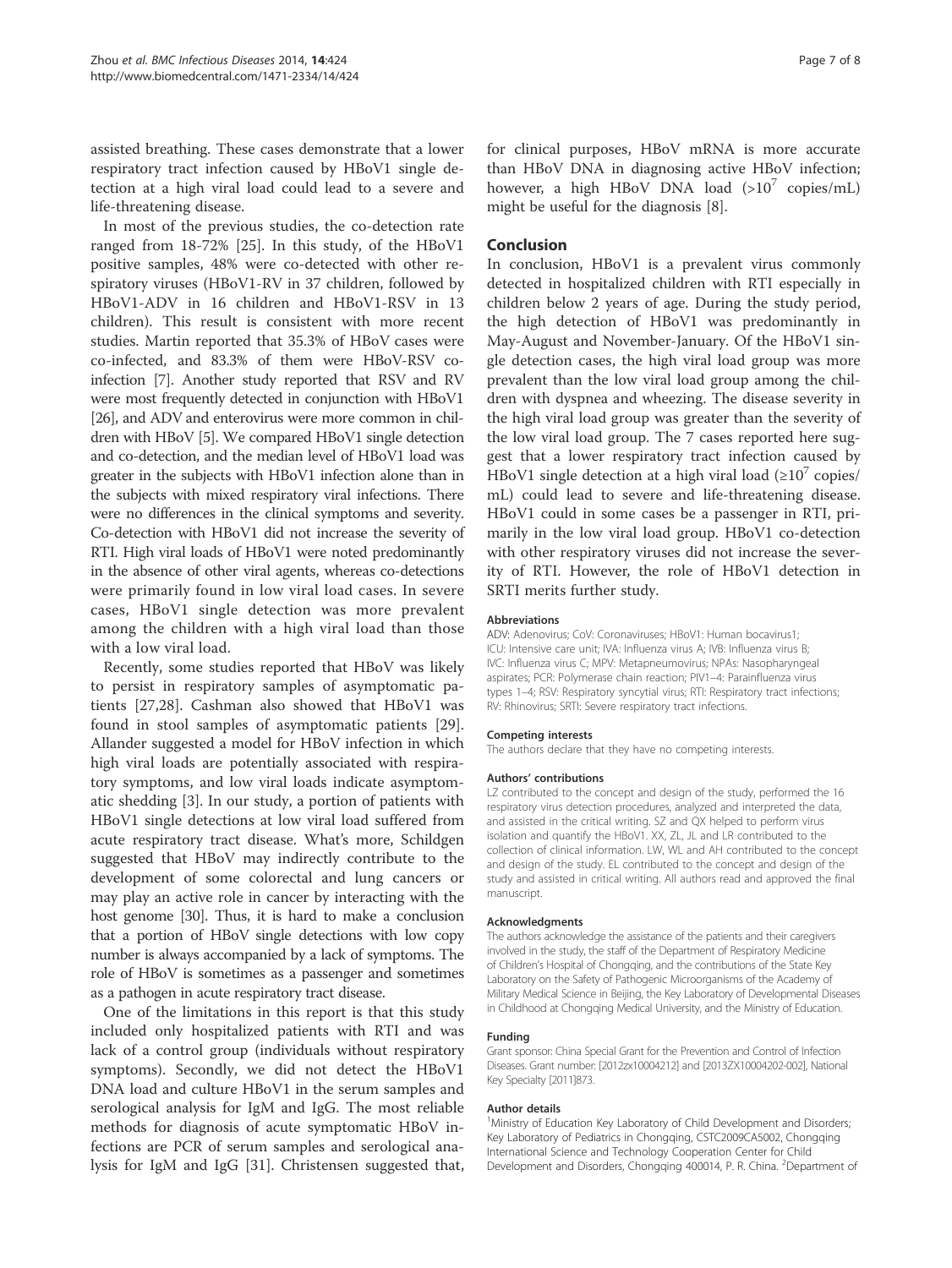assisted breathing. These cases demonstrate that a lower respiratory tract infection caused by HBoV1 single detection at a high viral load could lead to a severe and life-threatening disease.

In most of the previous studies, the co-detection rate ranged from 18-72% [25]. In this study, of the HBoV1 positive samples, 48% were co-detected with other respiratory viruses (HBoV1-RV in 37 children, followed by HBoV1-ADV in 16 children and HBoV1-RSV in 13 children). This result is consistent with more recent studies. Martin reported that 35.3% of HBoV cases were co-infected, and 83.3% of them were HBoV-RSV coinfection [7]. Another study reported that RSV and RV were most frequently detected in conjunction with HBoV1 [26], and ADV and enterovirus were more common in children with HBoV [5]. We compared HBoV1 single detection and co-detection, and the median level of HBoV1 load was greater in the subjects with HBoV1 infection alone than in the subjects with mixed respiratory viral infections. There were no differences in the clinical symptoms and severity. Co-detection with HBoV1 did not increase the severity of RTI. High viral loads of HBoV1 were noted predominantly in the absence of other viral agents, whereas co-detections were primarily found in low viral load cases. In severe cases, HBoV1 single detection was more prevalent among the children with a high viral load than those with a low viral load.

Recently, some studies reported that HBoV was likely to persist in respiratory samples of asymptomatic patients [27,28]. Cashman also showed that HBoV1 was found in stool samples of asymptomatic patients [29]. Allander suggested a model for HBoV infection in which high viral loads are potentially associated with respiratory symptoms, and low viral loads indicate asymptomatic shedding [3]. In our study, a portion of patients with HBoV1 single detections at low viral load suffered from acute respiratory tract disease. What's more, Schildgen suggested that HBoV may indirectly contribute to the development of some colorectal and lung cancers or may play an active role in cancer by interacting with the host genome [30]. Thus, it is hard to make a conclusion that a portion of HBoV single detections with low copy number is always accompanied by a lack of symptoms. The role of HBoV is sometimes as a passenger and sometimes as a pathogen in acute respiratory tract disease.

One of the limitations in this report is that this study included only hospitalized patients with RTI and was lack of a control group (individuals without respiratory symptoms). Secondly, we did not detect the HBoV1 DNA load and culture HBoV1 in the serum samples and serological analysis for IgM and IgG. The most reliable methods for diagnosis of acute symptomatic HBoV infections are PCR of serum samples and serological analysis for IgM and IgG [31]. Christensen suggested that, for clinical purposes, HBoV mRNA is more accurate than HBoV DNA in diagnosing active HBoV infection; however, a high HBoV DNA load  $(>10^7 \text{ copies/mL})$ might be useful for the diagnosis [8].

## Conclusion

In conclusion, HBoV1 is a prevalent virus commonly detected in hospitalized children with RTI especially in children below 2 years of age. During the study period, the high detection of HBoV1 was predominantly in May-August and November-January. Of the HBoV1 single detection cases, the high viral load group was more prevalent than the low viral load group among the children with dyspnea and wheezing. The disease severity in the high viral load group was greater than the severity of the low viral load group. The 7 cases reported here suggest that a lower respiratory tract infection caused by HBoV1 single detection at a high viral load  $(\geq 10^7 \text{ copies}/$ mL) could lead to severe and life-threatening disease. HBoV1 could in some cases be a passenger in RTI, primarily in the low viral load group. HBoV1 co-detection with other respiratory viruses did not increase the severity of RTI. However, the role of HBoV1 detection in SRTI merits further study.

#### Abbreviations

ADV: Adenovirus; CoV: Coronaviruses; HBoV1: Human bocavirus1; ICU: Intensive care unit; IVA: Influenza virus A; IVB: Influenza virus B; IVC: Influenza virus C; MPV: Metapneumovirus; NPAs: Nasopharyngeal aspirates; PCR: Polymerase chain reaction; PIV1–4: Parainfluenza virus types 1–4; RSV: Respiratory syncytial virus; RTI: Respiratory tract infections; RV: Rhinovirus; SRTI: Severe respiratory tract infections.

#### Competing interests

The authors declare that they have no competing interests.

#### Authors' contributions

LZ contributed to the concept and design of the study, performed the 16 respiratory virus detection procedures, analyzed and interpreted the data, and assisted in the critical writing. SZ and QX helped to perform virus isolation and quantify the HBoV1. XX, ZL, JL and LR contributed to the collection of clinical information. LW, WL and AH contributed to the concept and design of the study. EL contributed to the concept and design of the study and assisted in critical writing. All authors read and approved the final manuscript.

#### Acknowledgments

The authors acknowledge the assistance of the patients and their caregivers involved in the study, the staff of the Department of Respiratory Medicine of Children's Hospital of Chongqing, and the contributions of the State Key Laboratory on the Safety of Pathogenic Microorganisms of the Academy of Military Medical Science in Beijing, the Key Laboratory of Developmental Diseases in Childhood at Chongqing Medical University, and the Ministry of Education.

#### Funding

Grant sponsor: China Special Grant for the Prevention and Control of Infection Diseases. Grant number: [2012zx10004212] and [2013ZX10004202-002], National Key Specialty [2011]873.

#### Author details

<sup>1</sup>Ministry of Education Key Laboratory of Child Development and Disorders Key Laboratory of Pediatrics in Chongqing, CSTC2009CA5002, Chongqing International Science and Technology Cooperation Center for Child Development and Disorders, Chongqing 400014, P. R. China. <sup>2</sup>Department of